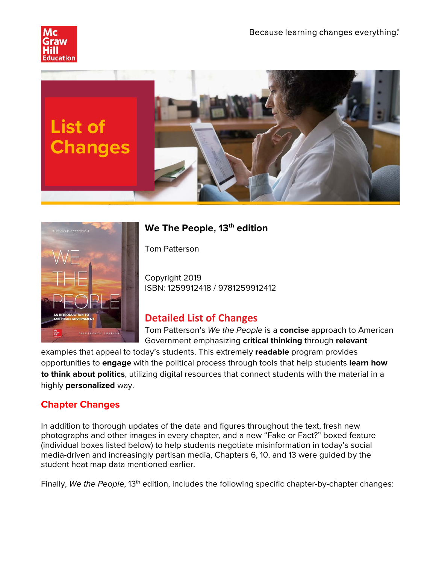





# **We The People, 13 th edition**

Tom Patterson

Copyright 2019 ISBN: 1259912418 / 9781259912412

# **Detailed List of Changes**

Tom Patterson's *We the People* is a **concise** approach to American Government emphasizing **critical thinking** through **relevant** 

examples that appeal to today's students. This extremely **readable** program provides opportunities to **engage** with the political process through tools that help students **learn how to think about politics**, utilizing digital resources that connect students with the material in a highly **personalized** way.

## **Chapter Changes**

In addition to thorough updates of the data and figures throughout the text, fresh new photographs and other images in every chapter, and a new "Fake or Fact?" boxed feature (individual boxes listed below) to help students negotiate misinformation in today's social media-driven and increasingly partisan media, Chapters 6, 10, and 13 were guided by the student heat map data mentioned earlier.

Finally, We the People, 13<sup>th</sup> edition, includes the following specific chapter-by-chapter changes: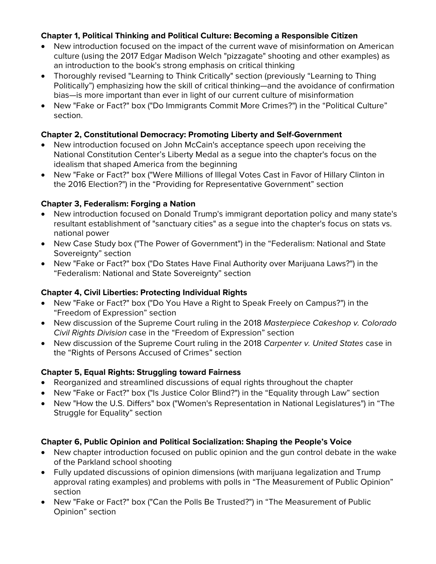#### **Chapter 1, Political Thinking and Political Culture: Becoming a Responsible Citizen**

- New introduction focused on the impact of the current wave of misinformation on American culture (using the 2017 Edgar Madison Welch "pizzagate" shooting and other examples) as an introduction to the book's strong emphasis on critical thinking
- Thoroughly revised "Learning to Think Critically" section (previously "Learning to Thing Politically") emphasizing how the skill of critical thinking—and the avoidance of confirmation bias—is more important than ever in light of our current culture of misinformation
- New "Fake or Fact?" box ("Do Immigrants Commit More Crimes?") in the "Political Culture" section.

#### **Chapter 2, Constitutional Democracy: Promoting Liberty and Self-Government**

- New introduction focused on John McCain's acceptance speech upon receiving the National Constitution Center's Liberty Medal as a segue into the chapter's focus on the idealism that shaped America from the beginning
- New "Fake or Fact?" box ("Were Millions of Illegal Votes Cast in Favor of Hillary Clinton in the 2016 Election?") in the "Providing for Representative Government" section

#### **Chapter 3, Federalism: Forging a Nation**

- New introduction focused on Donald Trump's immigrant deportation policy and many state's resultant establishment of "sanctuary cities" as a segue into the chapter's focus on stats vs. national power
- New Case Study box ("The Power of Government") in the "Federalism: National and State Sovereignty" section
- New "Fake or Fact?" box ("Do States Have Final Authority over Marijuana Laws?") in the "Federalism: National and State Sovereignty" section

## **Chapter 4, Civil Liberties: Protecting Individual Rights**

- New "Fake or Fact?" box ("Do You Have a Right to Speak Freely on Campus?") in the "Freedom of Expression" section
- New discussion of the Supreme Court ruling in the 2018 *Masterpiece Cakeshop v. Colorado Civil Rights Division* case in the "Freedom of Expression" section
- New discussion of the Supreme Court ruling in the 2018 *Carpenter v. United States* case in the "Rights of Persons Accused of Crimes" section

## **Chapter 5, Equal Rights: Struggling toward Fairness**

- Reorganized and streamlined discussions of equal rights throughout the chapter
- New "Fake or Fact?" box ("Is Justice Color Blind?") in the "Equality through Law" section
- New "How the U.S. Differs" box ("Women's Representation in National Legislatures") in "The Struggle for Equality" section

## **Chapter 6, Public Opinion and Political Socialization: Shaping the People's Voice**

- New chapter introduction focused on public opinion and the gun control debate in the wake of the Parkland school shooting
- Fully updated discussions of opinion dimensions (with marijuana legalization and Trump approval rating examples) and problems with polls in "The Measurement of Public Opinion" section
- New "Fake or Fact?" box ("Can the Polls Be Trusted?") in "The Measurement of Public Opinion" section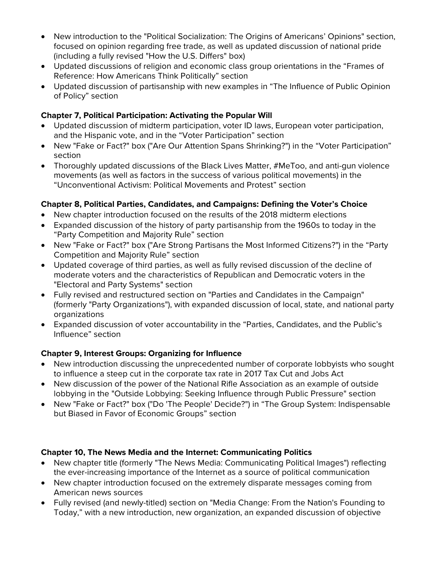- New introduction to the "Political Socialization: The Origins of Americans' Opinions" section, focused on opinion regarding free trade, as well as updated discussion of national pride (including a fully revised "How the U.S. Differs" box)
- Updated discussions of religion and economic class group orientations in the "Frames of Reference: How Americans Think Politically" section
- Updated discussion of partisanship with new examples in "The Influence of Public Opinion of Policy" section

#### **Chapter 7, Political Participation: Activating the Popular Will**

- Updated discussion of midterm participation, voter ID laws, European voter participation, and the Hispanic vote, and in the "Voter Participation" section
- New "Fake or Fact?" box ("Are Our Attention Spans Shrinking?") in the "Voter Participation" section
- Thoroughly updated discussions of the Black Lives Matter, #MeToo, and anti-gun violence movements (as well as factors in the success of various political movements) in the "Unconventional Activism: Political Movements and Protest" section

## **Chapter 8, Political Parties, Candidates, and Campaigns: Defining the Voter's Choice**

- New chapter introduction focused on the results of the 2018 midterm elections
- Expanded discussion of the history of party partisanship from the 1960s to today in the "Party Competition and Majority Rule" section
- New "Fake or Fact?" box ("Are Strong Partisans the Most Informed Citizens?") in the "Party Competition and Majority Rule" section
- Updated coverage of third parties, as well as fully revised discussion of the decline of moderate voters and the characteristics of Republican and Democratic voters in the "Electoral and Party Systems" section
- Fully revised and restructured section on "Parties and Candidates in the Campaign" (formerly "Party Organizations"), with expanded discussion of local, state, and national party organizations
- Expanded discussion of voter accountability in the "Parties, Candidates, and the Public's Influence" section

## **Chapter 9, Interest Groups: Organizing for Influence**

- New introduction discussing the unprecedented number of corporate lobbyists who sought to influence a steep cut in the corporate tax rate in 2017 Tax Cut and Jobs Act
- New discussion of the power of the National Rifle Association as an example of outside lobbying in the "Outside Lobbying: Seeking Influence through Public Pressure" section
- New "Fake or Fact?" box ("Do 'The People' Decide?") in "The Group System: Indispensable but Biased in Favor of Economic Groups" section

#### **Chapter 10, The News Media and the Internet: Communicating Politics**

- New chapter title (formerly "The News Media: Communicating Political Images") reflecting the ever-increasing importance of the Internet as a source of political communication
- New chapter introduction focused on the extremely disparate messages coming from American news sources
- Fully revised (and newly-titled) section on "Media Change: From the Nation's Founding to Today," with a new introduction, new organization, an expanded discussion of objective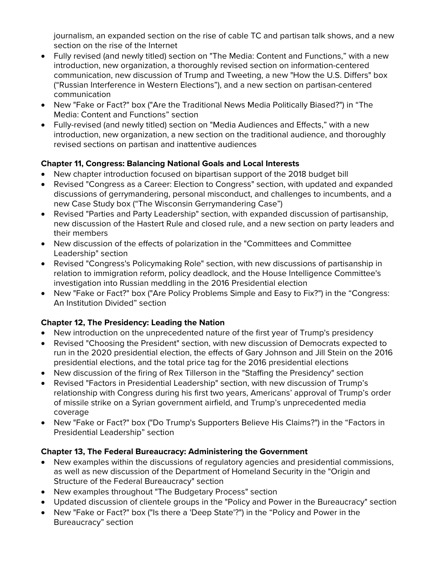journalism, an expanded section on the rise of cable TC and partisan talk shows, and a new section on the rise of the Internet

- Fully revised (and newly titled) section on "The Media: Content and Functions," with a new introduction, new organization, a thoroughly revised section on information-centered communication, new discussion of Trump and Tweeting, a new "How the U.S. Differs" box ("Russian Interference in Western Elections"), and a new section on partisan-centered communication
- New "Fake or Fact?" box ("Are the Traditional News Media Politically Biased?") in "The Media: Content and Functions" section
- Fully-revised (and newly titled) section on "Media Audiences and Effects," with a new introduction, new organization, a new section on the traditional audience, and thoroughly revised sections on partisan and inattentive audiences

## **Chapter 11, Congress: Balancing National Goals and Local Interests**

- New chapter introduction focused on bipartisan support of the 2018 budget bill
- Revised "Congress as a Career: Election to Congress" section, with updated and expanded discussions of gerrymandering, personal misconduct, and challenges to incumbents, and a new Case Study box ("The Wisconsin Gerrymandering Case")
- Revised "Parties and Party Leadership" section, with expanded discussion of partisanship, new discussion of the Hastert Rule and closed rule, and a new section on party leaders and their members
- New discussion of the effects of polarization in the "Committees and Committee Leadership" section
- Revised "Congress's Policymaking Role" section, with new discussions of partisanship in relation to immigration reform, policy deadlock, and the House Intelligence Committee's investigation into Russian meddling in the 2016 Presidential election
- New "Fake or Fact?" box ("Are Policy Problems Simple and Easy to Fix?") in the "Congress: An Institution Divided" section

## **Chapter 12, The Presidency: Leading the Nation**

- New introduction on the unprecedented nature of the first year of Trump's presidency
- Revised "Choosing the President" section, with new discussion of Democrats expected to run in the 2020 presidential election, the effects of Gary Johnson and Jill Stein on the 2016 presidential elections, and the total price tag for the 2016 presidential elections
- New discussion of the firing of Rex Tillerson in the "Staffing the Presidency" section
- Revised "Factors in Presidential Leadership" section, with new discussion of Trump's relationship with Congress during his first two years, Americans' approval of Trump's order of missile strike on a Syrian government airfield, and Trump's unprecedented media coverage
- New "Fake or Fact?" box ("Do Trump's Supporters Believe His Claims?") in the "Factors in Presidential Leadership" section

## **Chapter 13, The Federal Bureaucracy: Administering the Government**

- New examples within the discussions of regulatory agencies and presidential commissions, as well as new discussion of the Department of Homeland Security in the "Origin and Structure of the Federal Bureaucracy" section
- New examples throughout "The Budgetary Process" section
- Updated discussion of clientele groups in the "Policy and Power in the Bureaucracy" section
- New "Fake or Fact?" box ("Is there a 'Deep State'?") in the "Policy and Power in the Bureaucracy" section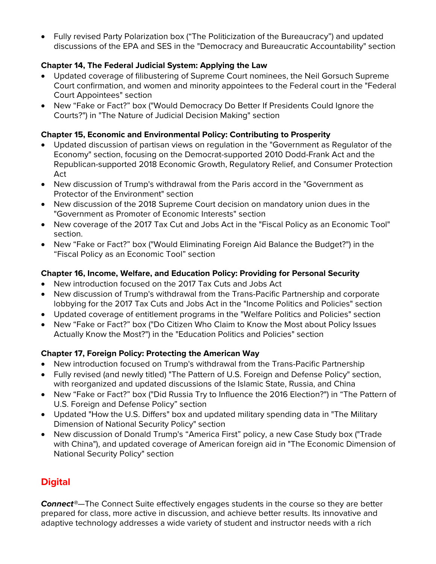• Fully revised Party Polarization box ("The Politicization of the Bureaucracy") and updated discussions of the EPA and SES in the "Democracy and Bureaucratic Accountability" section

#### **Chapter 14, The Federal Judicial System: Applying the Law**

- Updated coverage of filibustering of Supreme Court nominees, the Neil Gorsuch Supreme Court confirmation, and women and minority appointees to the Federal court in the "Federal Court Appointees" section
- New "Fake or Fact?" box ("Would Democracy Do Better If Presidents Could Ignore the Courts?") in "The Nature of Judicial Decision Making" section

#### **Chapter 15, Economic and Environmental Policy: Contributing to Prosperity**

- Updated discussion of partisan views on regulation in the "Government as Regulator of the Economy" section, focusing on the Democrat-supported 2010 Dodd-Frank Act and the Republican-supported 2018 Economic Growth, Regulatory Relief, and Consumer Protection Act
- New discussion of Trump's withdrawal from the Paris accord in the "Government as Protector of the Environment" section
- New discussion of the 2018 Supreme Court decision on mandatory union dues in the "Government as Promoter of Economic Interests" section
- New coverage of the 2017 Tax Cut and Jobs Act in the "Fiscal Policy as an Economic Tool" section.
- New "Fake or Fact?" box ("Would Eliminating Foreign Aid Balance the Budget?") in the "Fiscal Policy as an Economic Tool" section

#### **Chapter 16, Income, Welfare, and Education Policy: Providing for Personal Security**

- New introduction focused on the 2017 Tax Cuts and Jobs Act
- New discussion of Trump's withdrawal from the Trans-Pacific Partnership and corporate lobbying for the 2017 Tax Cuts and Jobs Act in the "Income Politics and Policies" section
- Updated coverage of entitlement programs in the "Welfare Politics and Policies" section
- New "Fake or Fact?" box ("Do Citizen Who Claim to Know the Most about Policy Issues Actually Know the Most?") in the "Education Politics and Policies" section

## **Chapter 17, Foreign Policy: Protecting the American Way**

- New introduction focused on Trump's withdrawal from the Trans-Pacific Partnership
- Fully revised (and newly titled) "The Pattern of U.S. Foreign and Defense Policy" section, with reorganized and updated discussions of the Islamic State, Russia, and China
- New "Fake or Fact?" box ("Did Russia Try to Influence the 2016 Election?") in "The Pattern of U.S. Foreign and Defense Policy" section
- Updated "How the U.S. Differs" box and updated military spending data in "The Military Dimension of National Security Policy" section
- New discussion of Donald Trump's "America First" policy, a new Case Study box ("Trade with China"), and updated coverage of American foreign aid in "The Economic Dimension of National Security Policy" section

## **Digital**

*Connect®*—The Connect Suite effectively engages students in the course so they are better prepared for class, more active in discussion, and achieve better results. Its innovative and adaptive technology addresses a wide variety of student and instructor needs with a rich